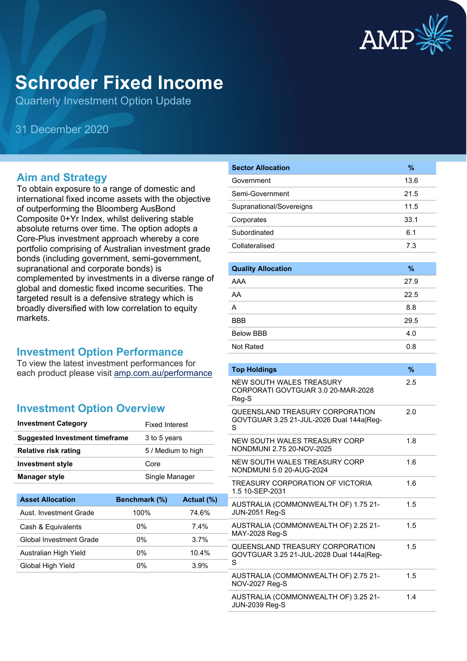

# **Schroder Fixed Income**

Quarterly Investment Option Update

31 December 2020

### **Aim and Strategy**

To obtain exposure to a range of domestic and international fixed income assets with the objective of outperforming the Bloomberg AusBond Composite 0+Yr Index, whilst delivering stable absolute returns over time. The option adopts a Core-Plus investment approach whereby a core portfolio comprising of Australian investment grade bonds (including government, semi-government, supranational and corporate bonds) is complemented by investments in a diverse range of global and domestic fixed income securities. The targeted result is a defensive strategy which is broadly diversified with low correlation to equity markets.

#### **Investment Option Performance**

To view the latest investment performances for each product please visit [amp.com.au/performance](https://www.amp.com.au/performance)

## **Investment Option Overview**

| <b>Investment Category</b>            | <b>Fixed Interest</b> |
|---------------------------------------|-----------------------|
| <b>Suggested Investment timeframe</b> | 3 to 5 years          |
| Relative risk rating                  | 5 / Medium to high    |
| <b>Investment style</b>               | Core                  |
| Manager style                         | Single Manager        |

| <b>Asset Allocation</b> | Benchmark (%) | Actual (%) |
|-------------------------|---------------|------------|
| Aust. Investment Grade  | 100%          | 74.6%      |
| Cash & Equivalents      | $0\%$         | 74%        |
| Global Investment Grade | 0%            | 37%        |
| Australian High Yield   | 0%            | 10.4%      |
| Global High Yield       | 0%            | 3.9%       |

| <b>Sector Allocation</b>                                                         | $\%$    |
|----------------------------------------------------------------------------------|---------|
| Government                                                                       | 13.6    |
| Semi-Government                                                                  | 21.5    |
| Supranational/Sovereigns                                                         | 11.5    |
| Corporates                                                                       | 33.1    |
| Subordinated                                                                     | 6.1     |
| Collateralised                                                                   | 7.3     |
|                                                                                  |         |
| <b>Quality Allocation</b>                                                        | $\%$    |
| AAA                                                                              | 27.9    |
| AA                                                                               | 22.5    |
| A                                                                                | 8.8     |
| <b>BBB</b>                                                                       | 29.5    |
| <b>Below BBB</b>                                                                 | 4.0     |
| Not Rated                                                                        | 0.8     |
|                                                                                  |         |
| <b>Top Holdings</b>                                                              | $\%$    |
| NEW SOUTH WAI ES TREASURY<br>CORPORATI GOVTGUAR 3.0 20-MAR-2028<br>Reg-S         | $2.5\,$ |
| QUEENSLAND TREASURY CORPORATION<br>GOVTGUAR 3.25 21-JUL-2026 Dual 144a Reg-<br>S | 2.0     |
| NEW SOUTH WALES TREASURY CORP<br>NONDMUNI 2.75 20-NOV-2025                       | 1.8     |
| NEW SOUTH WALES TREASURY CORP<br>NONDMUNI 5.0.20-AUG-2024                        | 1.6     |
| TREASURY CORPORATION OF VICTORIA<br>1.5 10-SEP-2031                              | 1.6     |
| AUSTRALIA (COMMONWEALTH OF) 1.75 21-<br><b>JUN-2051 Reg-S</b>                    | 1.5     |
| AUSTRALIA (COMMONWEALTH OF) 2.25 21-<br>MAY-2028 Reg-S                           | 1.5     |
| QUEENSLAND TREASURY CORPORATION<br>GOVTGUAR 3.25 21-JUL-2028 Dual 144a Reg-<br>S | 1.5     |
| AUSTRALIA (COMMONWEALTH OF) 2.75 21-<br>NOV-2027 Reg-S                           | 1.5     |
| AUSTRALIA (COMMONWEALTH OF) 3.25 21-<br>JUN-2039 Reg-S                           | 1.4     |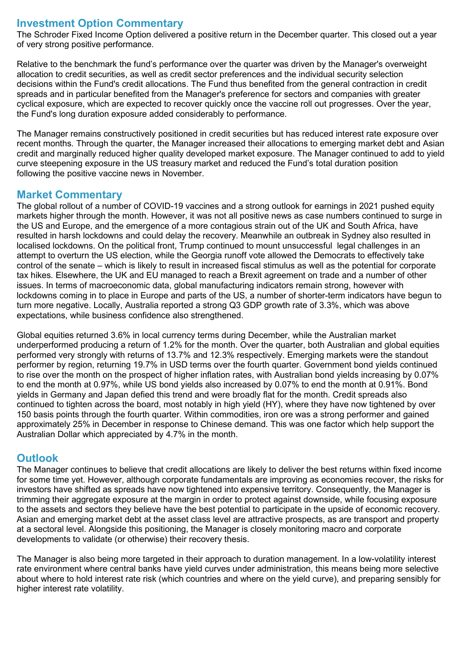# **Investment Option Commentary**

The Schroder Fixed Income Option delivered a positive return in the December quarter. This closed out a year of very strong positive performance.

Relative to the benchmark the fund's performance over the quarter was driven by the Manager's overweight allocation to credit securities, as well as credit sector preferences and the individual security selection decisions within the Fund's credit allocations. The Fund thus benefited from the general contraction in credit spreads and in particular benefited from the Manager's preference for sectors and companies with greater cyclical exposure, which are expected to recover quickly once the vaccine roll out progresses. Over the year, the Fund's long duration exposure added considerably to performance.

The Manager remains constructively positioned in credit securities but has reduced interest rate exposure over recent months. Through the quarter, the Manager increased their allocations to emerging market debt and Asian credit and marginally reduced higher quality developed market exposure. The Manager continued to add to yield curve steepening exposure in the US treasury market and reduced the Fund's total duration position following the positive vaccine news in November.

### **Market Commentary**

The global rollout of a number of COVID-19 vaccines and a strong outlook for earnings in 2021 pushed equity markets higher through the month. However, it was not all positive news as case numbers continued to surge in the US and Europe, and the emergence of a more contagious strain out of the UK and South Africa, have resulted in harsh lockdowns and could delay the recovery. Meanwhile an outbreak in Sydney also resulted in localised lockdowns. On the political front, Trump continued to mount unsuccessful legal challenges in an attempt to overturn the US election, while the Georgia runoff vote allowed the Democrats to effectively take control of the senate – which is likely to result in increased fiscal stimulus as well as the potential for corporate tax hikes. Elsewhere, the UK and EU managed to reach a Brexit agreement on trade and a number of other issues. In terms of macroeconomic data, global manufacturing indicators remain strong, however with lockdowns coming in to place in Europe and parts of the US, a number of shorter-term indicators have begun to turn more negative. Locally, Australia reported a strong Q3 GDP growth rate of 3.3%, which was above expectations, while business confidence also strengthened.

Global equities returned 3.6% in local currency terms during December, while the Australian market underperformed producing a return of 1.2% for the month. Over the quarter, both Australian and global equities performed very strongly with returns of 13.7% and 12.3% respectively. Emerging markets were the standout performer by region, returning 19.7% in USD terms over the fourth quarter. Government bond yields continued to rise over the month on the prospect of higher inflation rates, with Australian bond yields increasing by 0.07% to end the month at 0.97%, while US bond yields also increased by 0.07% to end the month at 0.91%. Bond yields in Germany and Japan defied this trend and were broadly flat for the month. Credit spreads also continued to tighten across the board, most notably in high yield (HY), where they have now tightened by over 150 basis points through the fourth quarter. Within commodities, iron ore was a strong performer and gained approximately 25% in December in response to Chinese demand. This was one factor which help support the Australian Dollar which appreciated by 4.7% in the month.

# **Outlook**

The Manager continues to believe that credit allocations are likely to deliver the best returns within fixed income for some time yet. However, although corporate fundamentals are improving as economies recover, the risks for investors have shifted as spreads have now tightened into expensive territory. Consequently, the Manager is trimming their aggregate exposure at the margin in order to protect against downside, while focusing exposure to the assets and sectors they believe have the best potential to participate in the upside of economic recovery. Asian and emerging market debt at the asset class level are attractive prospects, as are transport and property at a sectoral level. Alongside this positioning, the Manager is closely monitoring macro and corporate developments to validate (or otherwise) their recovery thesis.

The Manager is also being more targeted in their approach to duration management. In a low-volatility interest rate environment where central banks have yield curves under administration, this means being more selective about where to hold interest rate risk (which countries and where on the yield curve), and preparing sensibly for higher interest rate volatility.